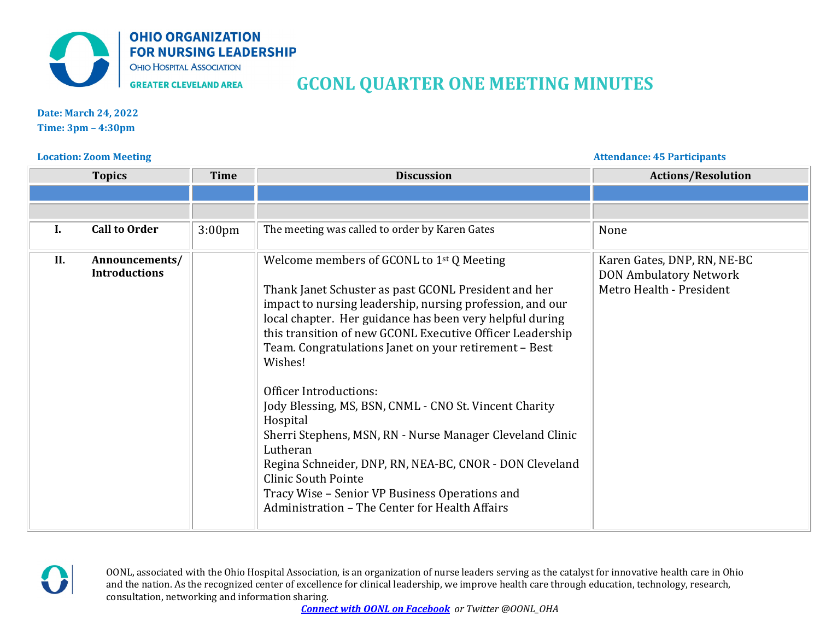

## **GCONL QUARTER ONE MEETING MINUTES**

**Date: March 24, 2022 Time: 3pm – 4:30pm** 

## **Location: Zoom Meeting Attendance: 45 Participants**

|     | <b>Topics</b>                          | <b>Time</b>        | <b>Discussion</b>                                                                                                                                                                                                                                                                                                                                                                                                                                                                                                                                                                                                                                                                                                                   | <b>Actions/Resolution</b>                                                                |
|-----|----------------------------------------|--------------------|-------------------------------------------------------------------------------------------------------------------------------------------------------------------------------------------------------------------------------------------------------------------------------------------------------------------------------------------------------------------------------------------------------------------------------------------------------------------------------------------------------------------------------------------------------------------------------------------------------------------------------------------------------------------------------------------------------------------------------------|------------------------------------------------------------------------------------------|
|     |                                        |                    |                                                                                                                                                                                                                                                                                                                                                                                                                                                                                                                                                                                                                                                                                                                                     |                                                                                          |
|     |                                        |                    |                                                                                                                                                                                                                                                                                                                                                                                                                                                                                                                                                                                                                                                                                                                                     |                                                                                          |
| Ι.  | <b>Call to Order</b>                   | 3:00 <sub>pm</sub> | The meeting was called to order by Karen Gates                                                                                                                                                                                                                                                                                                                                                                                                                                                                                                                                                                                                                                                                                      | None                                                                                     |
| II. | Announcements/<br><b>Introductions</b> |                    | Welcome members of GCONL to $1st Q$ Meeting<br>Thank Janet Schuster as past GCONL President and her<br>impact to nursing leadership, nursing profession, and our<br>local chapter. Her guidance has been very helpful during<br>this transition of new GCONL Executive Officer Leadership<br>Team. Congratulations Janet on your retirement - Best<br>Wishes!<br>Officer Introductions:<br>Jody Blessing, MS, BSN, CNML - CNO St. Vincent Charity<br>Hospital<br>Sherri Stephens, MSN, RN - Nurse Manager Cleveland Clinic<br>Lutheran<br>Regina Schneider, DNP, RN, NEA-BC, CNOR - DON Cleveland<br><b>Clinic South Pointe</b><br>Tracy Wise - Senior VP Business Operations and<br>Administration - The Center for Health Affairs | Karen Gates, DNP, RN, NE-BC<br><b>DON Ambulatory Network</b><br>Metro Health - President |



OONL, associated with the Ohio Hospital Association, is an organization of nurse leaders serving as the catalyst for innovative health care in Ohio and the nation. As the recognized center of excellence for clinical leadership, we improve health care through education, technology, research, consultation, networking and information sharing.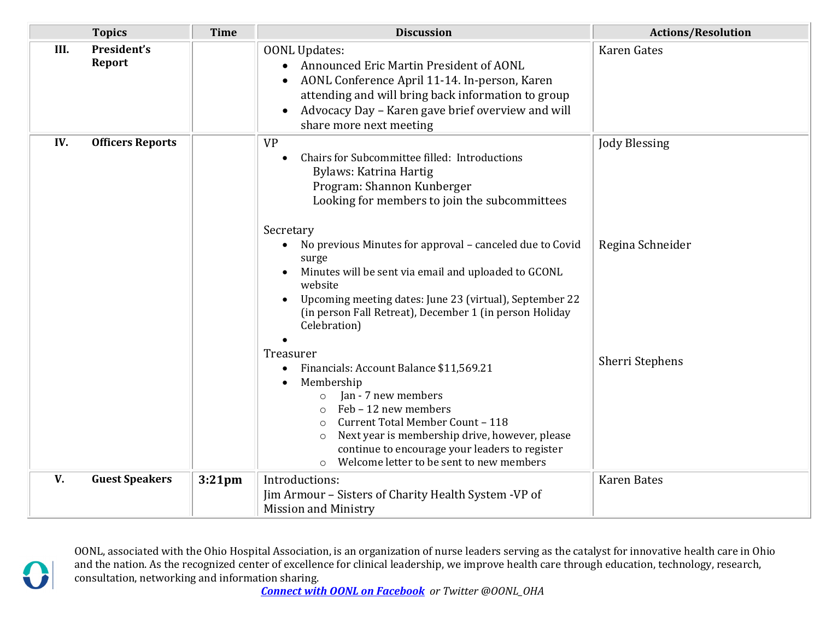|      | <b>Topics</b>                | <b>Time</b> | <b>Discussion</b>                                                                                                                                                                                                                                                                                                                                 | <b>Actions/Resolution</b> |
|------|------------------------------|-------------|---------------------------------------------------------------------------------------------------------------------------------------------------------------------------------------------------------------------------------------------------------------------------------------------------------------------------------------------------|---------------------------|
| III. | President's<br><b>Report</b> |             | <b>OONL Updates:</b><br>Announced Eric Martin President of AONL<br>AONL Conference April 11-14. In-person, Karen<br>$\bullet$<br>attending and will bring back information to group<br>Advocacy Day - Karen gave brief overview and will<br>$\bullet$<br>share more next meeting                                                                  | <b>Karen Gates</b>        |
| IV.  | <b>Officers Reports</b>      |             | <b>VP</b><br>Chairs for Subcommittee filled: Introductions<br>Bylaws: Katrina Hartig<br>Program: Shannon Kunberger<br>Looking for members to join the subcommittees<br>Secretary                                                                                                                                                                  | <b>Jody Blessing</b>      |
|      |                              |             | No previous Minutes for approval - canceled due to Covid<br>$\bullet$<br>surge<br>Minutes will be sent via email and uploaded to GCONL<br>$\bullet$<br>website<br>Upcoming meeting dates: June 23 (virtual), September 22<br>$\bullet$<br>(in person Fall Retreat), December 1 (in person Holiday<br>Celebration)                                 | Regina Schneider          |
|      |                              |             | Treasurer<br>Financials: Account Balance \$11,569.21<br>Membership<br>Jan - 7 new members<br>$\circ$<br>Feb - 12 new members<br>$\circ$<br>Current Total Member Count - 118<br>$\circ$<br>Next year is membership drive, however, please<br>$\circ$<br>continue to encourage your leaders to register<br>Welcome letter to be sent to new members | Sherri Stephens           |
| V.   | <b>Guest Speakers</b>        | $3:21$ pm   | Introductions:<br>Jim Armour - Sisters of Charity Health System - VP of<br><b>Mission and Ministry</b>                                                                                                                                                                                                                                            | <b>Karen Bates</b>        |

OONL, associated with the Ohio Hospital Association, is an organization of nurse leaders serving as the catalyst for innovative health care in Ohio and the nation. As the recognized center of excellence for clinical leadership, we improve health care through education, technology, research, consultation, networking and information sharing.